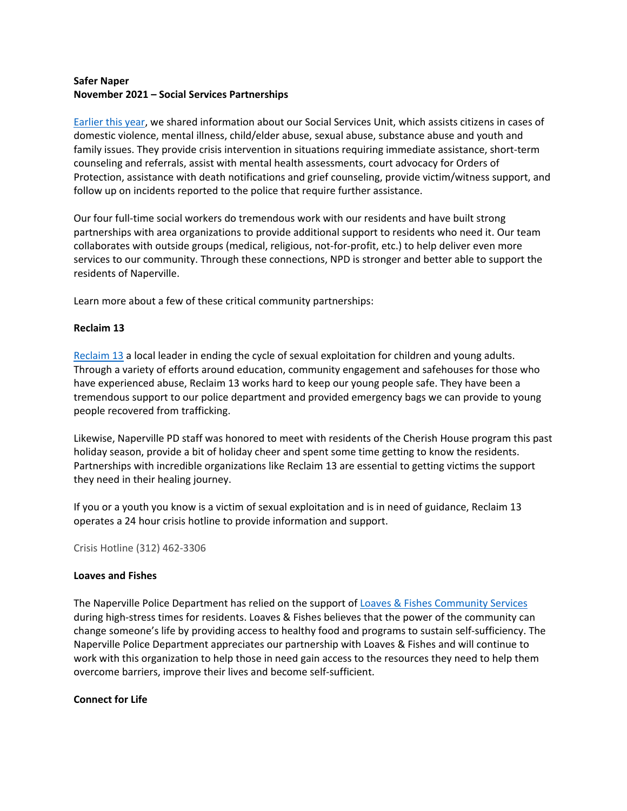## **Safer Naper November 2021 – Social Services Partnerships**

[Earlier this year,](https://www.naperville.il.us/contentassets/ced5eb7e18c1460290385bee4df3b758/march-2021-website-content.pdf) we shared information about our Social Services Unit, which assists citizens in cases of domestic violence, mental illness, child/elder abuse, sexual abuse, substance abuse and youth and family issues. They provide crisis intervention in situations requiring immediate assistance, short-term counseling and referrals, assist with mental health assessments, court advocacy for Orders of Protection, assistance with death notifications and grief counseling, provide victim/witness support, and follow up on incidents reported to the police that require further assistance.

Our four full-time social workers do tremendous work with our residents and have built strong partnerships with area organizations to provide additional support to residents who need it. Our team collaborates with outside groups (medical, religious, not-for-profit, etc.) to help deliver even more services to our community. Through these connections, NPD is stronger and better able to support the residents of Naperville.

Learn more about a few of these critical community partnerships:

### **Reclaim 13**

[Reclaim 13](https://www.reclaim13.org/) a local leader in ending the cycle of sexual exploitation for children and young adults. Through a variety of efforts around education, community engagement and safehouses for those who have experienced abuse, Reclaim 13 works hard to keep our young people safe. They have been a tremendous support to our police department and provided emergency bags we can provide to young people recovered from trafficking.

Likewise, Naperville PD staff was honored to meet with residents of the Cherish House program this past holiday season, provide a bit of holiday cheer and spent some time getting to know the residents. Partnerships with incredible organizations like Reclaim 13 are essential to getting victims the support they need in their healing journey.

If you or a youth you know is a victim of sexual exploitation and is in need of guidance, Reclaim 13 operates a 24 hour crisis hotline to provide information and support.

Crisis Hotline (312) 462-3306

#### **Loaves and Fishes**

The Naperville Police Department has relied on the support of [Loaves & Fishes Community Services](https://www.loaves-fishes.org/) during high-stress times for residents. Loaves & Fishes believes that the power of the community can change someone's life by providing access to healthy food and programs to sustain self-sufficiency. The Naperville Police Department appreciates our partnership with Loaves & Fishes and will continue to work with this organization to help those in need gain access to the resources they need to help them overcome barriers, improve their lives and become self-sufficient.

#### **Connect for Life**